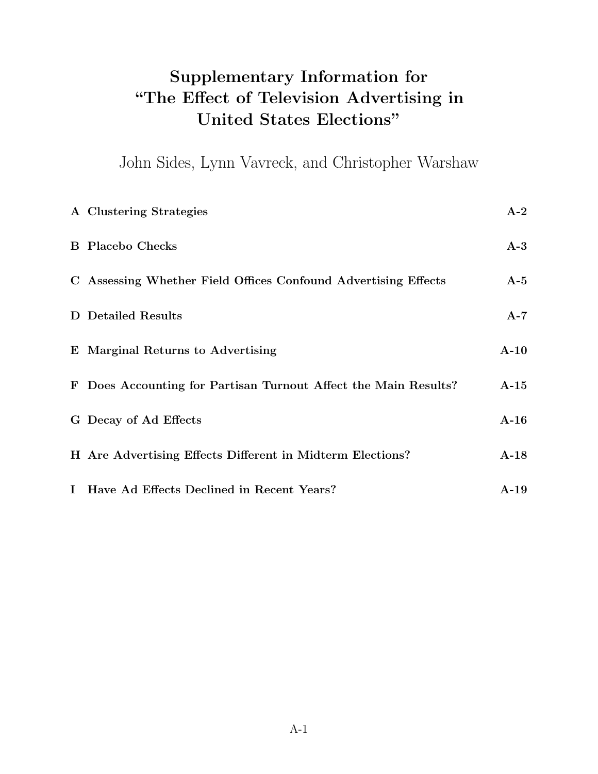### <span id="page-0-9"></span><span id="page-0-3"></span>Supplementary Information for "The Effect of Television Advertising in United States Elections"

John Sides, Lynn Vavreck, and Christopher Warshaw

<span id="page-0-16"></span><span id="page-0-15"></span><span id="page-0-14"></span><span id="page-0-13"></span><span id="page-0-12"></span><span id="page-0-11"></span><span id="page-0-10"></span><span id="page-0-8"></span><span id="page-0-7"></span><span id="page-0-6"></span><span id="page-0-5"></span><span id="page-0-4"></span><span id="page-0-2"></span><span id="page-0-1"></span><span id="page-0-0"></span>

| A Clustering Strategies                                         | $A-2$                  |
|-----------------------------------------------------------------|------------------------|
| <b>B</b> Placebo Checks                                         | $A-3$                  |
| C Assessing Whether Field Offices Confound Advertising Effects  | $A-5$                  |
| <b>D</b> Detailed Results                                       | $A-7$                  |
| E Marginal Returns to Advertising                               | $A-10$                 |
| F Does Accounting for Partisan Turnout Affect the Main Results? | $A-15$                 |
| G Decay of Ad Effects                                           | $A-16$                 |
| H Are Advertising Effects Different in Midterm Elections?       | $A-18$                 |
| I Have Ad Effects Declined in Recent Years?                     | $\mathbf{A}\text{-}19$ |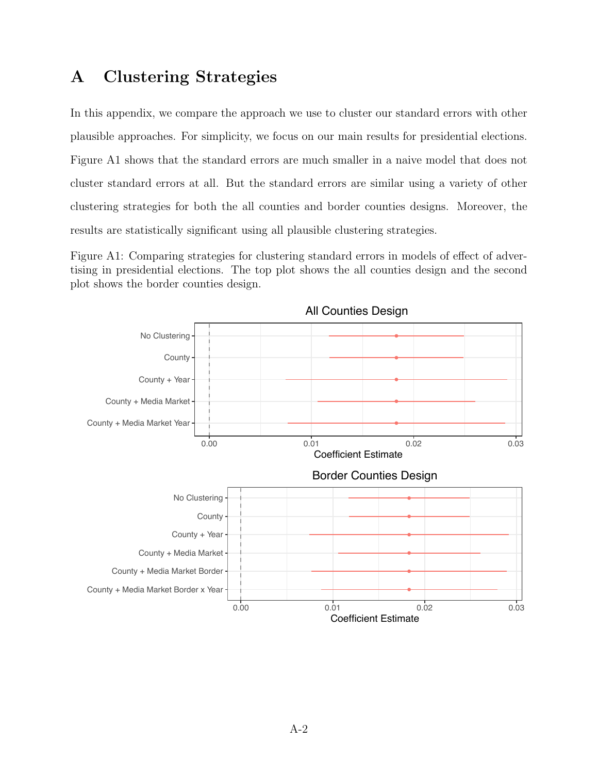### A Clustering Strategies

In this appendix, we compare the approach we use to cluster our standard errors with other plausible approaches. For simplicity, we focus on our main results for presidential elections. Figure [A1](#page-0-0) shows that the standard errors are much smaller in a naive model that does not cluster standard errors at all. But the standard errors are similar using a variety of other clustering strategies for both the all counties and border counties designs. Moreover, the results are statistically significant using all plausible clustering strategies.

Figure A1: Comparing strategies for clustering standard errors in models of effect of advertising in presidential elections. The top plot shows the all counties design and the second plot shows the border counties design.

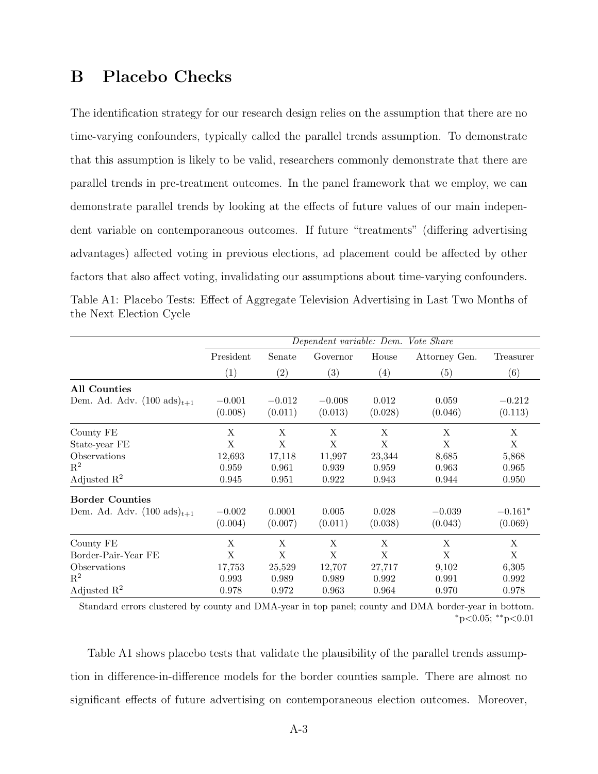### B Placebo Checks

The identification strategy for our research design relies on the assumption that there are no time-varying confounders, typically called the parallel trends assumption. To demonstrate that this assumption is likely to be valid, researchers commonly demonstrate that there are parallel trends in pre-treatment outcomes. In the panel framework that we employ, we can demonstrate parallel trends by looking at the effects of future values of our main independent variable on contemporaneous outcomes. If future "treatments" (differing advertising advantages) affected voting in previous elections, ad placement could be affected by other factors that also affect voting, invalidating our assumptions about time-varying confounders. Table A1: Placebo Tests: Effect of Aggregate Television Advertising in Last Two Months of the Next Election Cycle

|                                         |                     |                     | Dependent variable: Dem. Vote Share |                  |                  |                     |
|-----------------------------------------|---------------------|---------------------|-------------------------------------|------------------|------------------|---------------------|
|                                         | President           | Senate              | Governor                            | House            | Attorney Gen.    | Treasurer           |
|                                         | (1)                 | (2)                 | (3)                                 | (4)              | (5)              | (6)                 |
| <b>All Counties</b>                     |                     |                     |                                     |                  |                  |                     |
| Dem. Ad. Adv. $(100 \text{ ads})_{t+1}$ | $-0.001$<br>(0.008) | $-0.012$<br>(0.011) | $-0.008$<br>(0.013)                 | 0.012<br>(0.028) | 0.059<br>(0.046) | $-0.212$<br>(0.113) |
| County FE                               | X                   | X                   | X                                   | Χ                | X                | X                   |
| State-year FE                           | X                   | X                   | X                                   | X                | X                | X                   |
| Observations                            | 12,693              | 17,118              | 11,997                              | 23,344           | 8,685            | 5,868               |
| $\mathbf{R}^2$                          | 0.959               | 0.961               | 0.939                               | 0.959            | 0.963            | 0.965               |
| Adjusted $\mathbb{R}^2$                 | 0.945               | 0.951               | 0.922                               | 0.943            | 0.944            | 0.950               |
| <b>Border Counties</b>                  |                     |                     |                                     |                  |                  |                     |
| Dem. Ad. Adv. $(100 \text{ ads})_{t+1}$ | $-0.002$            | 0.0001              | 0.005                               | 0.028            | $-0.039$         | $-0.161*$           |
|                                         | (0.004)             | (0.007)             | (0.011)                             | (0.038)          | (0.043)          | (0.069)             |
| County FE                               | X                   | X                   | X                                   | X                | X                | X                   |
| Border-Pair-Year FE                     | X                   | X                   | X                                   | X                | X                | X                   |
| Observations                            | 17,753              | 25,529              | 12,707                              | 27,717           | 9,102            | 6,305               |
| $\mathbf{R}^2$                          | 0.993               | 0.989               | 0.989                               | 0.992            | 0.991            | 0.992               |
| Adjusted $\mathbb{R}^2$                 | 0.978               | 0.972               | 0.963                               | 0.964            | 0.970            | 0.978               |

Standard errors clustered by county and DMA-year in top panel; county and DMA border-year in bottom. ⇤p*<*0.05; ⇤⇤p*<*0.01

Table [A1](#page-0-1) shows placebo tests that validate the plausibility of the parallel trends assumption in difference-in-difference models for the border counties sample. There are almost no significant effects of future advertising on contemporaneous election outcomes. Moreover,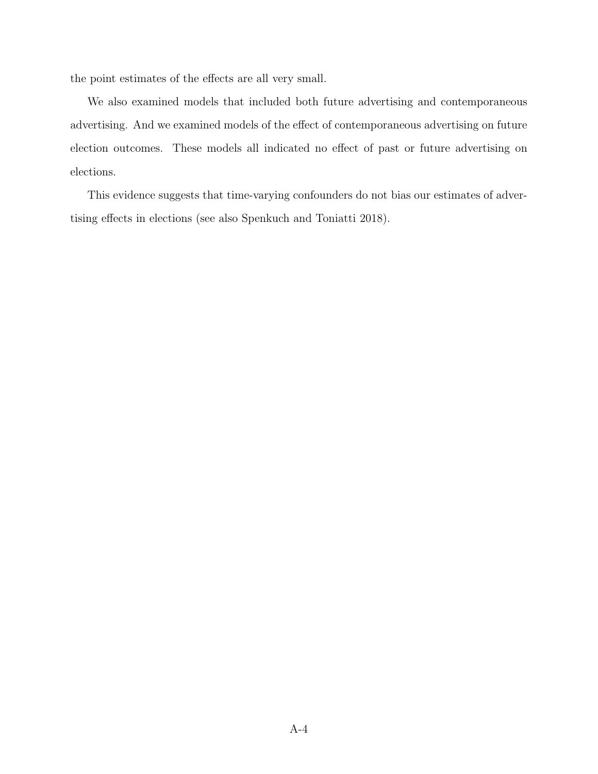the point estimates of the effects are all very small.

We also examined models that included both future advertising and contemporaneous advertising. And we examined models of the effect of contemporaneous advertising on future election outcomes. These models all indicated no effect of past or future advertising on elections.

This evidence suggests that time-varying confounders do not bias our estimates of adver-tising effects in elections (see also Spenkuch and Toniatti [2018\)](#page-0-2).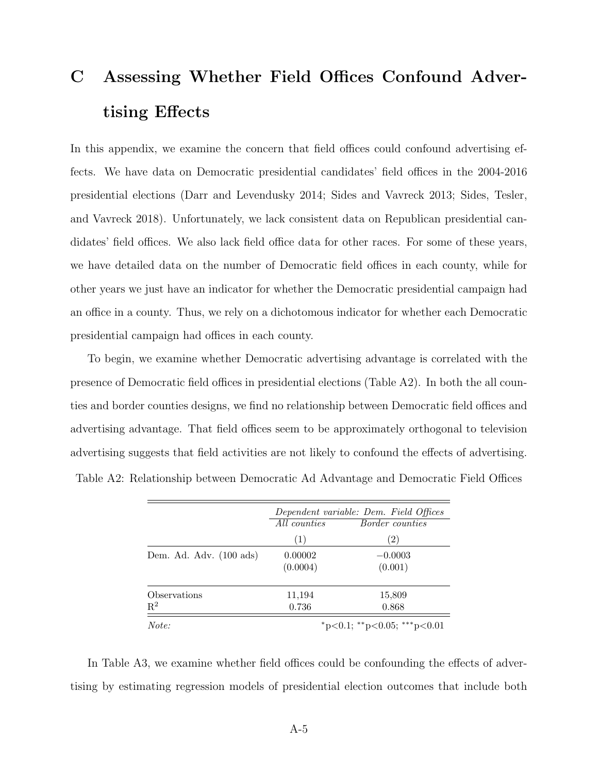## C Assessing Whether Field Offices Confound Advertising Effects

In this appendix, we examine the concern that field offices could confound advertising effects. We have data on Democratic presidential candidates' field offices in the 2004-2016 presidential elections (Darr and Levendusky [2014;](#page-0-3) Sides and Vavreck [2013;](#page-0-4) Sides, Tesler, and Vavreck [2018\)](#page-0-5). Unfortunately, we lack consistent data on Republican presidential candidates' field offices. We also lack field office data for other races. For some of these years, we have detailed data on the number of Democratic field offices in each county, while for other years we just have an indicator for whether the Democratic presidential campaign had an office in a county. Thus, we rely on a dichotomous indicator for whether each Democratic presidential campaign had offices in each county.

To begin, we examine whether Democratic advertising advantage is correlated with the presence of Democratic field offices in presidential elections (Table  $A2$ ). In both the all counties and border counties designs, we find no relationship between Democratic field offices and advertising advantage. That field offices seem to be approximately orthogonal to television advertising suggests that field activities are not likely to confound the effects of advertising. Table A2: Relationship between Democratic Ad Advantage and Democratic Field Offices

|                         | Dependent variable: Dem. Field Offices |                             |  |  |
|-------------------------|----------------------------------------|-----------------------------|--|--|
|                         | All counties                           | <i>Border counties</i>      |  |  |
|                         | (1)                                    | (2)                         |  |  |
| Dem. Ad. Adv. (100 ads) | 0.00002                                | $-0.0003$                   |  |  |
|                         | (0.0004)                               | (0.001)                     |  |  |
| Observations            | 11,194                                 | 15,809                      |  |  |
| $\mathbf{R}^2$          | 0.736                                  | 0.868                       |  |  |
| Note:                   |                                        | *p<0.1; **p<0.05; ***p<0.01 |  |  |

In Table  $A3$ , we examine whether field offices could be confounding the effects of advertising by estimating regression models of presidential election outcomes that include both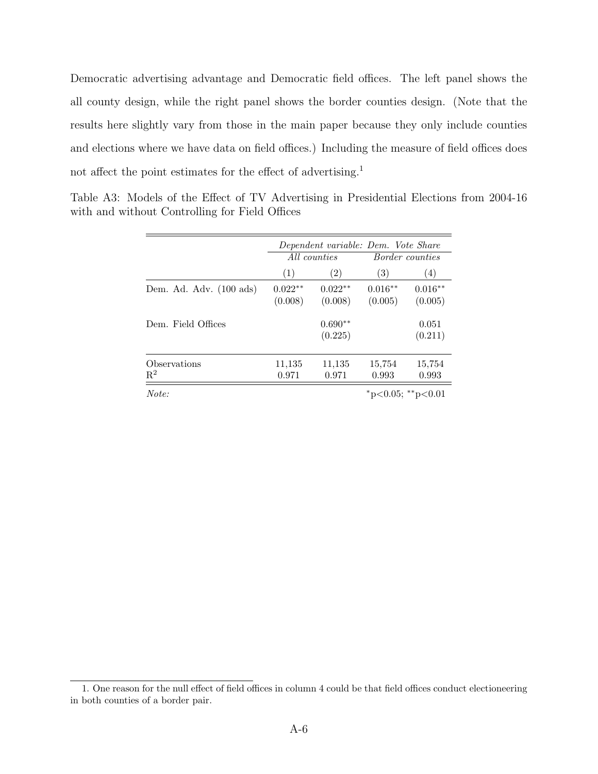Democratic advertising advantage and Democratic field offices. The left panel shows the all county design, while the right panel shows the border counties design. (Note that the results here slightly vary from those in the main paper because they only include counties and elections where we have data on field offices.) Including the measure of field offices does not affect the point estimates for the effect of advertising.<sup>[1](#page-0-8)</sup>

|                                |                      |                      |                      | Dependent variable: Dem. Vote Share |  |  |  |
|--------------------------------|----------------------|----------------------|----------------------|-------------------------------------|--|--|--|
|                                |                      | All counties         |                      | <i>Border counties</i>              |  |  |  |
|                                | (1)                  | (2)                  | $\left( 3\right)$    | (4)                                 |  |  |  |
| Dem. Ad. Adv. (100 ads)        | $0.022**$<br>(0.008) | $0.022**$<br>(0.008) | $0.016**$<br>(0.005) | $0.016**$<br>(0.005)                |  |  |  |
| Dem. Field Offices             |                      | $0.690**$<br>(0.225) |                      | 0.051<br>(0.211)                    |  |  |  |
| Observations<br>$\mathbf{R}^2$ | 11,135<br>0.971      | 11,135<br>0.971      | 15,754<br>0.993      | 15,754<br>0.993                     |  |  |  |
| Note:                          |                      |                      |                      | *p<0.05; **p<0.01                   |  |  |  |

Table A3: Models of the Effect of TV Advertising in Presidential Elections from 2004-16 with and without Controlling for Field Offices

<sup>1.</sup> One reason for the null effect of field offices in column 4 could be that field offices conduct electioneering in both counties of a border pair.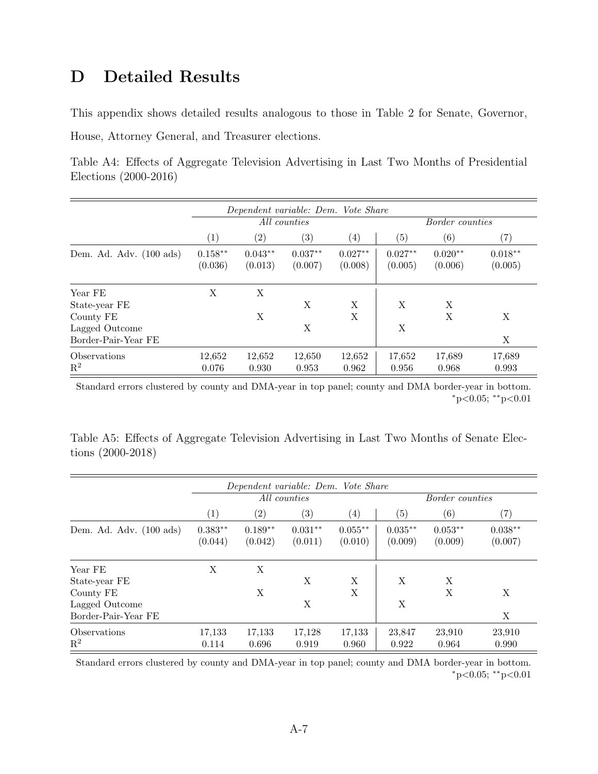### D Detailed Results

This appendix shows detailed results analogous to those in Table [2](#page-0-9) for Senate, Governor, House, Attorney General, and Treasurer elections.

Table A4: Effects of Aggregate Television Advertising in Last Two Months of Presidential Elections (2000-2016)

|                                   |                      | Dependent variable: Dem. Vote Share |                           |                      |                      |                        |                      |  |  |
|-----------------------------------|----------------------|-------------------------------------|---------------------------|----------------------|----------------------|------------------------|----------------------|--|--|
|                                   |                      |                                     | $\overline{All}$ counties |                      |                      | <i>Border counties</i> |                      |  |  |
|                                   | (1)                  | $\left( 2\right)$                   | $\left( 3\right)$         | $\left( 4\right)$    | (5)                  | (6)                    | $\left( 7\right)$    |  |  |
| Dem. Ad. Adv. $(100 \text{ ads})$ | $0.158**$<br>(0.036) | $0.043**$<br>(0.013)                | $0.037**$<br>(0.007)      | $0.027**$<br>(0.008) | $0.027**$<br>(0.005) | $0.020**$<br>(0.006)   | $0.018**$<br>(0.005) |  |  |
| Year FE                           | X                    | X                                   |                           |                      |                      |                        |                      |  |  |
| State-year FE                     |                      |                                     | X                         | X                    | X                    | X                      |                      |  |  |
| County FE                         |                      | Х                                   |                           | X                    |                      | X                      | X                    |  |  |
| Lagged Outcome                    |                      |                                     | X                         |                      | X                    |                        |                      |  |  |
| Border-Pair-Year FE               |                      |                                     |                           |                      |                      |                        | X                    |  |  |
| Observations                      | 12,652               | 12,652                              | 12,650                    | 12,652               | 17,652               | 17,689                 | 17,689               |  |  |
| $\mathbf{R}^2$                    | 0.076                | 0.930                               | 0.953                     | 0.962                | 0.956                | 0.968                  | 0.993                |  |  |

Standard errors clustered by county and DMA-year in top panel; county and DMA border-year in bottom. ⇤p*<*0.05; ⇤⇤p*<*0.01

Table A5: Effects of Aggregate Television Advertising in Last Two Months of Senate Elections (2000-2018)

|                                       |                      | Dependent variable: Dem. Vote Share |                      |                      |                      |                        |                      |  |  |
|---------------------------------------|----------------------|-------------------------------------|----------------------|----------------------|----------------------|------------------------|----------------------|--|--|
|                                       |                      |                                     | All counties         |                      |                      | <i>Border counties</i> |                      |  |  |
|                                       | $\left( 1\right)$    | $\left( 2\right)$                   | $\left( 3\right)$    | $\left( 4\right)$    | $\left( 5\right)$    | (6)                    | $\left( 7\right)$    |  |  |
| Dem. Ad. Adv. $(100 \text{ ads})$     | $0.383**$<br>(0.044) | $0.189**$<br>(0.042)                | $0.031**$<br>(0.011) | $0.055**$<br>(0.010) | $0.035**$<br>(0.009) | $0.053**$<br>(0.009)   | $0.038**$<br>(0.007) |  |  |
| Year FE                               | X                    | X                                   | X                    | X                    | X                    | X                      |                      |  |  |
| State-year FE<br>County FE            |                      | Х                                   |                      | X                    |                      | X                      | X                    |  |  |
| Lagged Outcome<br>Border-Pair-Year FE |                      |                                     | X                    |                      | X                    |                        | X                    |  |  |
| Observations<br>$\rm R^2$             | 17,133<br>0.114      | 17,133<br>0.696                     | 17,128<br>0.919      | 17,133<br>0.960      | 23,847<br>0.922      | 23,910<br>0.964        | 23,910<br>0.990      |  |  |

Standard errors clustered by county and DMA-year in top panel; county and DMA border-year in bottom. ⇤p*<*0.05; ⇤⇤p*<*0.01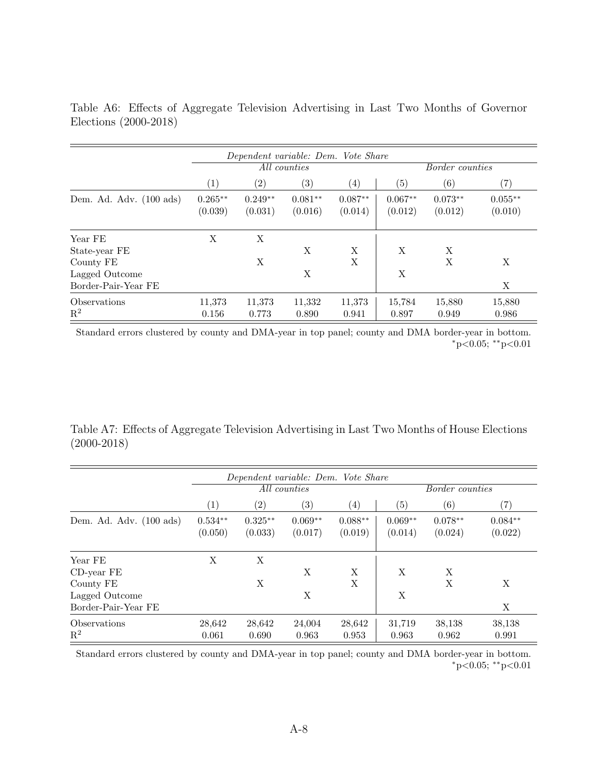|                                       |                      |                      | Dependent variable: Dem. Vote Share |                      |                      |                        |                      |
|---------------------------------------|----------------------|----------------------|-------------------------------------|----------------------|----------------------|------------------------|----------------------|
|                                       |                      |                      | All counties                        |                      |                      | <i>Border counties</i> |                      |
|                                       | $\left( 1\right)$    | $\left( 2\right)$    | $\left( 3\right)$                   | $\left( 4\right)$    | $\left( 5\right)$    | (6)                    | $\left( 7\right)$    |
| Dem. Ad. Adv. $(100 \text{ ads})$     | $0.265**$<br>(0.039) | $0.249**$<br>(0.031) | $0.081**$<br>(0.016)                | $0.087**$<br>(0.014) | $0.067**$<br>(0.012) | $0.073**$<br>(0.012)   | $0.055**$<br>(0.010) |
| Year FE                               | X                    | X                    |                                     |                      |                      |                        |                      |
| State-year FE<br>County FE            |                      | X                    | X                                   | Χ<br>X               | X                    | X<br>X                 | X                    |
| Lagged Outcome<br>Border-Pair-Year FE |                      |                      | X                                   |                      | X                    |                        | X                    |
| <b>Observations</b><br>$\mathbf{R}^2$ | 11,373<br>0.156      | 11,373<br>0.773      | 11,332<br>0.890                     | 11,373<br>0.941      | 15,784<br>0.897      | 15,880<br>0.949        | 15,880<br>0.986      |

Table A6: Effects of Aggregate Television Advertising in Last Two Months of Governor Elections (2000-2018)

Standard errors clustered by county and DMA-year in top panel; county and DMA border-year in bottom. ⇤p*<*0.05; ⇤⇤p*<*0.01

Table A7: Effects of Aggregate Television Advertising in Last Two Months of House Elections (2000-2018)

|                                   |                      | Dependent variable: Dem. Vote Share |                      |                      |                      |                        |                      |  |  |
|-----------------------------------|----------------------|-------------------------------------|----------------------|----------------------|----------------------|------------------------|----------------------|--|--|
|                                   |                      |                                     | All counties         |                      |                      | <i>Border counties</i> |                      |  |  |
|                                   | $\left( 1\right)$    | $\left( 2\right)$                   | $\left( 3\right)$    | $\left( 4\right)$    | $\left( 5\right)$    | (6)                    | $\left( 7\right)$    |  |  |
| Dem. Ad. Adv. $(100 \text{ ads})$ | $0.534**$<br>(0.050) | $0.325**$<br>(0.033)                | $0.069**$<br>(0.017) | $0.088**$<br>(0.019) | $0.069**$<br>(0.014) | $0.078**$<br>(0.024)   | $0.084**$<br>(0.022) |  |  |
| Year FE<br>CD-year FE             | X                    | X                                   | X                    | X                    | X                    | X                      |                      |  |  |
| County FE<br>Lagged Outcome       |                      | Χ                                   | X                    | X                    | X                    | X                      | X                    |  |  |
| Border-Pair-Year FE               |                      |                                     |                      |                      |                      |                        | X                    |  |  |
| Observations<br>$\mathbf{R}^2$    | 28,642<br>0.061      | 28,642<br>0.690                     | 24,004<br>0.963      | 28,642<br>0.953      | 31,719<br>0.963      | 38,138<br>0.962        | 38,138<br>0.991      |  |  |

Standard errors clustered by county and DMA-year in top panel; county and DMA border-year in bottom. ⇤p*<*0.05; ⇤⇤p*<*0.01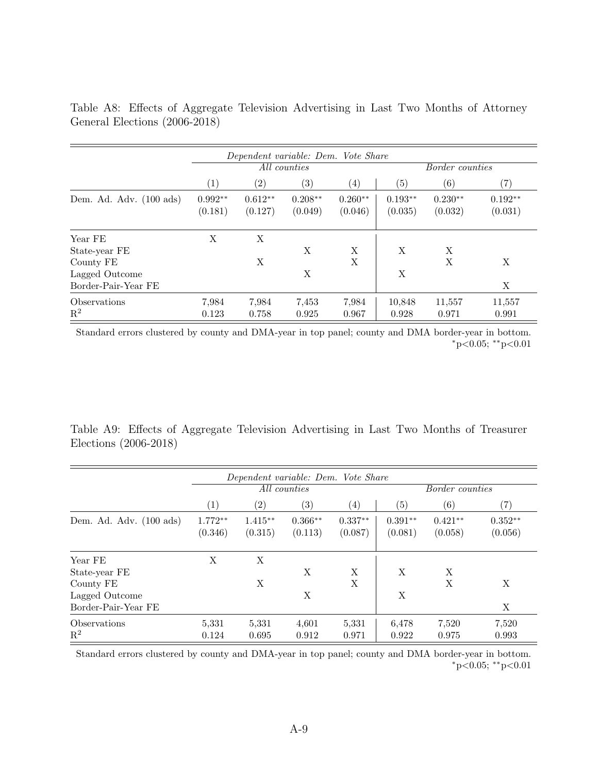|                                   |                      |                      | Dependent variable: Dem. Vote Share |                      |                      |                        |                      |
|-----------------------------------|----------------------|----------------------|-------------------------------------|----------------------|----------------------|------------------------|----------------------|
|                                   |                      |                      | All counties                        |                      |                      | <i>Border counties</i> |                      |
|                                   | $\left( 1\right)$    | $\left( 2\right)$    | $\left( 3\right)$                   | $\left( 4\right)$    | (5)                  | (6)                    | $\left( 7\right)$    |
| Dem. Ad. Adv. $(100 \text{ ads})$ | $0.992**$<br>(0.181) | $0.612**$<br>(0.127) | $0.208**$<br>(0.049)                | $0.260**$<br>(0.046) | $0.193**$<br>(0.035) | $0.230**$<br>(0.032)   | $0.192**$<br>(0.031) |
| Year FE<br>State-year FE          | X                    | X                    | X                                   | X                    | X                    | X                      |                      |
| County FE<br>Lagged Outcome       |                      | X                    | X                                   | X                    | X                    | X                      | X                    |
| Border-Pair-Year FE               |                      |                      |                                     |                      |                      |                        | X                    |
| Observations<br>$\mathbf{R}^2$    | 7,984<br>0.123       | 7.984<br>0.758       | 7.453<br>0.925                      | 7.984<br>0.967       | 10,848<br>0.928      | 11,557<br>0.971        | 11,557<br>0.991      |

Table A8: Effects of Aggregate Television Advertising in Last Two Months of Attorney General Elections (2006-2018)

Standard errors clustered by county and DMA-year in top panel; county and DMA border-year in bottom. ⇤p*<*0.05; ⇤⇤p*<*0.01

Table A9: Effects of Aggregate Television Advertising in Last Two Months of Treasurer Elections (2006-2018)

|                                       |                      | Dependent variable: Dem. Vote Share |                           |                      |                      |                        |                      |  |  |
|---------------------------------------|----------------------|-------------------------------------|---------------------------|----------------------|----------------------|------------------------|----------------------|--|--|
|                                       |                      |                                     | $\overline{All}$ counties |                      |                      | <i>Border counties</i> |                      |  |  |
|                                       | $\left( 1\right)$    | $\left( 2\right)$                   | $\left( 3\right)$         | $\left( 4\right)$    | $\left( 5\right)$    | (6)                    | $\left( 7\right)$    |  |  |
| Dem. Ad. Adv. $(100 \text{ ads})$     | $1.772**$<br>(0.346) | $1.415**$<br>(0.315)                | $0.366**$<br>(0.113)      | $0.337**$<br>(0.087) | $0.391**$<br>(0.081) | $0.421**$<br>(0.058)   | $0.352**$<br>(0.056) |  |  |
| Year FE<br>State-year FE              | X                    | X                                   | X                         | X                    | X                    | X                      |                      |  |  |
| County FE                             |                      | Χ                                   |                           | X                    |                      | X                      | X                    |  |  |
| Lagged Outcome<br>Border-Pair-Year FE |                      |                                     | X                         |                      | X                    |                        | X                    |  |  |
| Observations<br>$\mathbf{R}^2$        | 5,331<br>0.124       | 5,331<br>0.695                      | 4,601<br>0.912            | 5,331<br>0.971       | 6,478<br>0.922       | 7,520<br>0.975         | 7,520<br>0.993       |  |  |

Standard errors clustered by county and DMA-year in top panel; county and DMA border-year in bottom. ⇤p*<*0.05; ⇤⇤p*<*0.01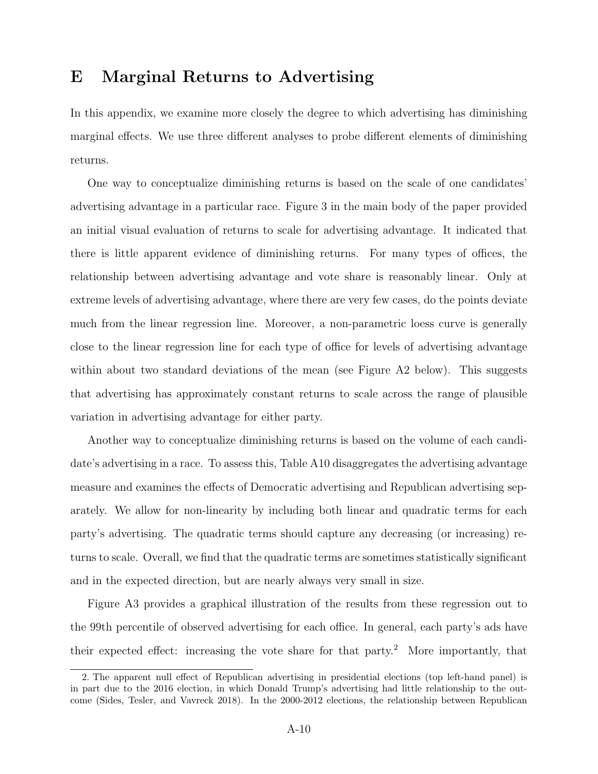#### E Marginal Returns to Advertising

In this appendix, we examine more closely the degree to which advertising has diminishing marginal effects. We use three different analyses to probe different elements of diminishing returns.

One way to conceptualize diminishing returns is based on the scale of one candidates' advertising advantage in a particular race. Figure [3](#page-0-9) in the main body of the paper provided an initial visual evaluation of returns to scale for advertising advantage. It indicated that there is little apparent evidence of diminishing returns. For many types of offices, the relationship between advertising advantage and vote share is reasonably linear. Only at extreme levels of advertising advantage, where there are very few cases, do the points deviate much from the linear regression line. Moreover, a non-parametric loess curve is generally close to the linear regression line for each type of office for levels of advertising advantage within about two standard deviations of the mean (see Figure [A2](#page-0-9) below). This suggests that advertising has approximately constant returns to scale across the range of plausible variation in advertising advantage for either party.

Another way to conceptualize diminishing returns is based on the volume of each candidate's advertising in a race. To assess this, Table [A10](#page-0-9) disaggregates the advertising advantage measure and examines the effects of Democratic advertising and Republican advertising separately. We allow for non-linearity by including both linear and quadratic terms for each party's advertising. The quadratic terms should capture any decreasing (or increasing) returns to scale. Overall, we find that the quadratic terms are sometimes statistically significant and in the expected direction, but are nearly always very small in size.

Figure [A3](#page-0-9) provides a graphical illustration of the results from these regression out to the 99th percentile of observed advertising for each office. In general, each party's ads have their expected effect: increasing the vote share for that party.<sup>[2](#page-0-10)</sup> More importantly, that

<sup>2.</sup> The apparent null effect of Republican advertising in presidential elections (top left-hand panel) is in part due to the 2016 election, in which Donald Trump's advertising had little relationship to the outcome (Sides, Tesler, and Vavreck [2018\)](#page-0-5). In the 2000-2012 elections, the relationship between Republican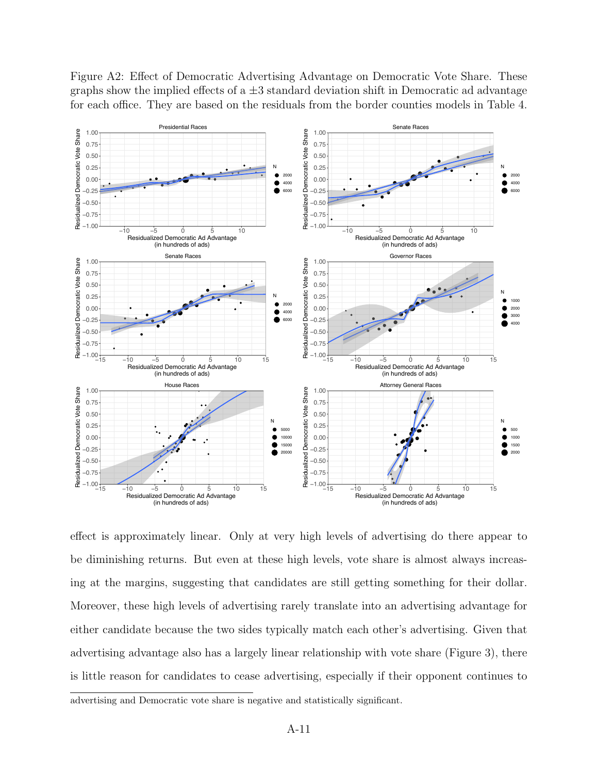

Figure A2: Effect of Democratic Advertising Advantage on Democratic Vote Share. These graphs show the implied effects of a  $\pm 3$  standard deviation shift in Democratic ad advantage for each office. They are based on the residuals from the border counties models in Table 4.

effect is approximately linear. Only at very high levels of advertising do there appear to be diminishing returns. But even at these high levels, vote share is almost always increasing at the margins, suggesting that candidates are still getting something for their dollar. Moreover, these high levels of advertising rarely translate into an advertising advantage for either candidate because the two sides typically match each other's advertising. Given that advertising advantage also has a largely linear relationship with vote share (Figure [3\)](#page-0-9), there is little reason for candidates to cease advertising, especially if their opponent continues to

advertising and Democratic vote share is negative and statistically significant.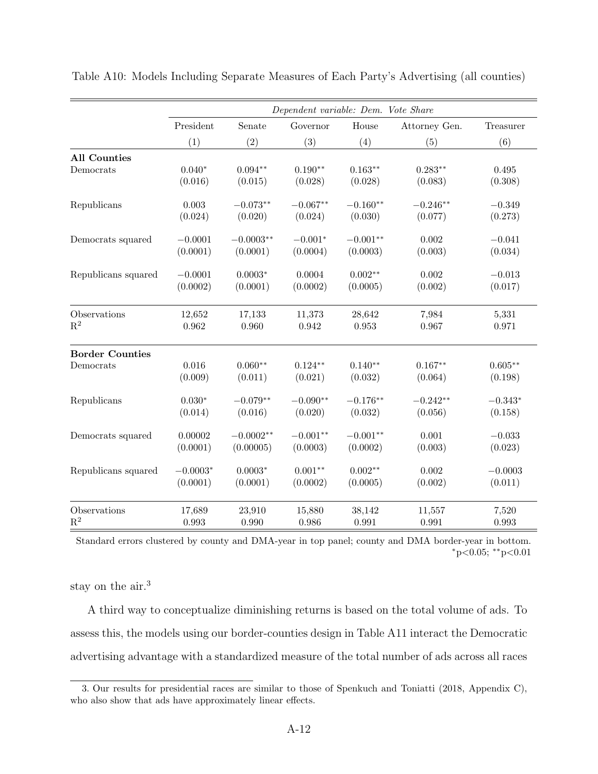|                        |            |             | Dependent variable: Dem. Vote Share |            |               |           |
|------------------------|------------|-------------|-------------------------------------|------------|---------------|-----------|
|                        | President  | Senate      | Governor                            | House      | Attorney Gen. | Treasurer |
|                        | (1)        | (2)         | (3)                                 | (4)        | (5)           | (6)       |
| <b>All Counties</b>    |            |             |                                     |            |               |           |
| Democrats              | $0.040*$   | $0.094**$   | $0.190**$                           | $0.163**$  | $0.283**$     | 0.495     |
|                        | (0.016)    | (0.015)     | (0.028)                             | (0.028)    | (0.083)       | (0.308)   |
| Republicans            | 0.003      | $-0.073**$  | $-0.067**$                          | $-0.160**$ | $-0.246**$    | $-0.349$  |
|                        | (0.024)    | (0.020)     | (0.024)                             | (0.030)    | (0.077)       | (0.273)   |
| Democrats squared      | $-0.0001$  | $-0.0003**$ | $-0.001*$                           | $-0.001**$ | 0.002         | $-0.041$  |
|                        | (0.0001)   | (0.0001)    | (0.0004)                            | (0.0003)   | (0.003)       | (0.034)   |
| Republicans squared    | $-0.0001$  | $0.0003*$   | 0.0004                              | $0.002**$  | 0.002         | $-0.013$  |
|                        | (0.0002)   | (0.0001)    | (0.0002)                            | (0.0005)   | (0.002)       | (0.017)   |
| Observations           | 12,652     | 17,133      | 11,373                              | 28,642     | 7,984         | 5,331     |
| $\mathbf{R}^2$         | 0.962      | 0.960       | 0.942                               | 0.953      | 0.967         | 0.971     |
| <b>Border Counties</b> |            |             |                                     |            |               |           |
| Democrats              | 0.016      | $0.060**$   | $0.124**$                           | $0.140**$  | $0.167**$     | $0.605**$ |
|                        | (0.009)    | (0.011)     | (0.021)                             | (0.032)    | (0.064)       | (0.198)   |
| Republicans            | $0.030*$   | $-0.079**$  | $-0.090**$                          | $-0.176**$ | $-0.242**$    | $-0.343*$ |
|                        | (0.014)    | (0.016)     | (0.020)                             | (0.032)    | (0.056)       | (0.158)   |
| Democrats squared      | 0.00002    | $-0.0002**$ | $-0.001**$                          | $-0.001**$ | 0.001         | $-0.033$  |
|                        | (0.0001)   | (0.00005)   | (0.0003)                            | (0.0002)   | (0.003)       | (0.023)   |
| Republicans squared    | $-0.0003*$ | $0.0003*$   | $0.001**$                           | $0.002**$  | 0.002         | $-0.0003$ |
|                        | (0.0001)   | (0.0001)    | (0.0002)                            | (0.0005)   | (0.002)       | (0.011)   |
| Observations           | 17,689     | 23,910      | 15,880                              | 38,142     | 11,557        | 7,520     |
| $\mathbf{R}^2$         | 0.993      | 0.990       | 0.986                               | 0.991      | 0.991         | 0.993     |

Table A10: Models Including Separate Measures of Each Party's Advertising (all counties)

Standard errors clustered by county and DMA-year in top panel; county and DMA border-year in bottom. ⇤p*<*0.05; ⇤⇤p*<*0.01

stay on the air.<sup>[3](#page-0-8)</sup>

A third way to conceptualize diminishing returns is based on the total volume of ads. To assess this, the models using our border-counties design in Table [A11](#page-0-11) interact the Democratic advertising advantage with a standardized measure of the total number of ads across all races

<sup>3.</sup> Our results for presidential races are similar to those of Spenkuch and Toniatti [\(2018,](#page-0-2) Appendix C), who also show that ads have approximately linear effects.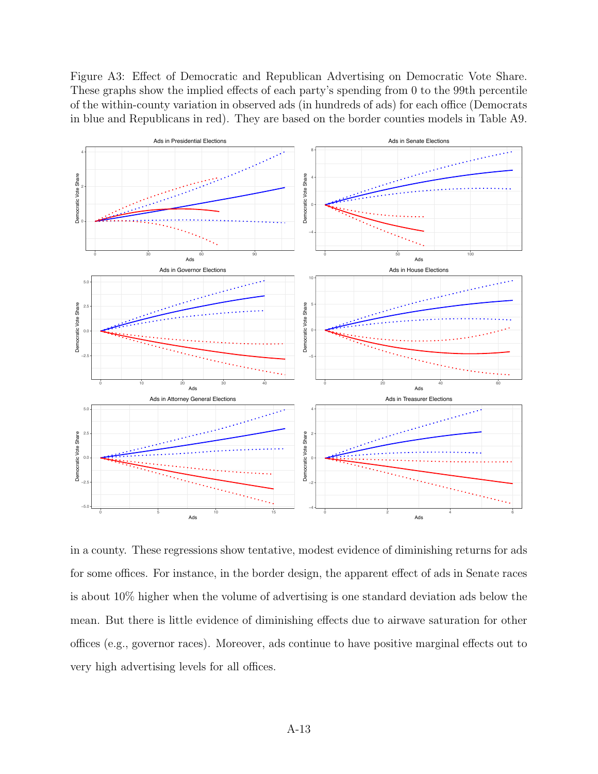Figure A3: Effect of Democratic and Republican Advertising on Democratic Vote Share. These graphs show the implied effects of each party's spending from 0 to the 99th percentile of the within-county variation in observed ads (in hundreds of ads) for each office (Democrats in blue and Republicans in red). They are based on the border counties models in Table A9.



in a county. These regressions show tentative, modest evidence of diminishing returns for ads for some offices. For instance, in the border design, the apparent effect of ads in Senate races is about 10% higher when the volume of advertising is one standard deviation ads below the mean. But there is little evidence of diminishing effects due to airwave saturation for other offices (e.g., governor races). Moreover, ads continue to have positive marginal effects out to very high advertising levels for all offices.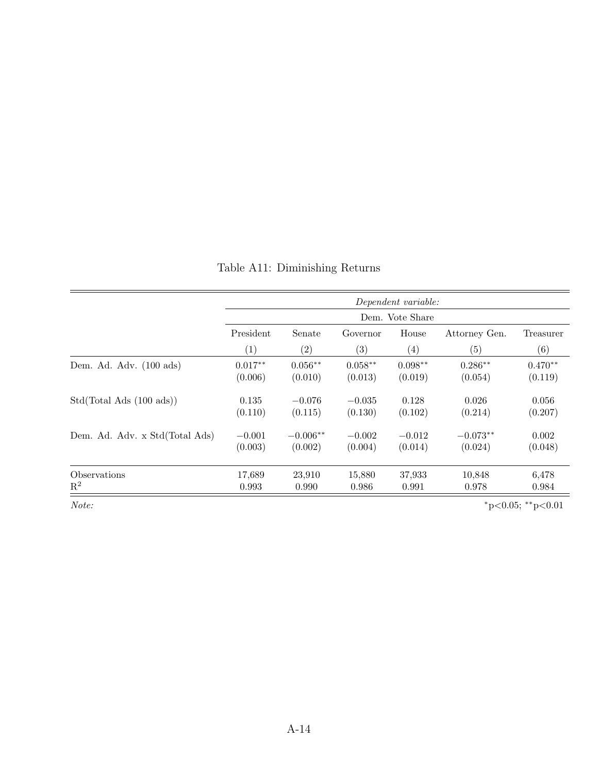|                                   |           | Dependent variable: |           |           |               |           |  |  |  |  |  |  |
|-----------------------------------|-----------|---------------------|-----------|-----------|---------------|-----------|--|--|--|--|--|--|
|                                   |           | Dem. Vote Share     |           |           |               |           |  |  |  |  |  |  |
|                                   | President | Senate              | Governor  | House     | Attorney Gen. | Treasurer |  |  |  |  |  |  |
|                                   | (1)       | $\left( 2\right)$   | (3)       | (4)       | (5)           | (6)       |  |  |  |  |  |  |
| Dem. Ad. Adv. $(100 \text{ ads})$ | $0.017**$ | $0.056**$           | $0.058**$ | $0.098**$ | $0.286**$     | $0.470**$ |  |  |  |  |  |  |
|                                   | (0.006)   | (0.010)             | (0.013)   | (0.019)   | (0.054)       | (0.119)   |  |  |  |  |  |  |
| Std(Total Ads (100 ads))          | 0.135     | $-0.076$            | $-0.035$  | 0.128     | 0.026         | 0.056     |  |  |  |  |  |  |
|                                   | (0.110)   | (0.115)             | (0.130)   | (0.102)   | (0.214)       | (0.207)   |  |  |  |  |  |  |
| Dem. Ad. Adv. x Std(Total Ads)    | $-0.001$  | $-0.006**$          | $-0.002$  | $-0.012$  | $-0.073**$    | 0.002     |  |  |  |  |  |  |
|                                   | (0.003)   | (0.002)             | (0.004)   | (0.014)   | (0.024)       | (0.048)   |  |  |  |  |  |  |
| Observations                      | 17,689    | 23,910              | 15,880    | 37,933    | 10,848        | 6,478     |  |  |  |  |  |  |
| $\mathbf{R}^2$                    | 0.993     | 0.990               | 0.986     | 0.991     | 0.978         | 0.984     |  |  |  |  |  |  |

Table A11: Diminishing Returns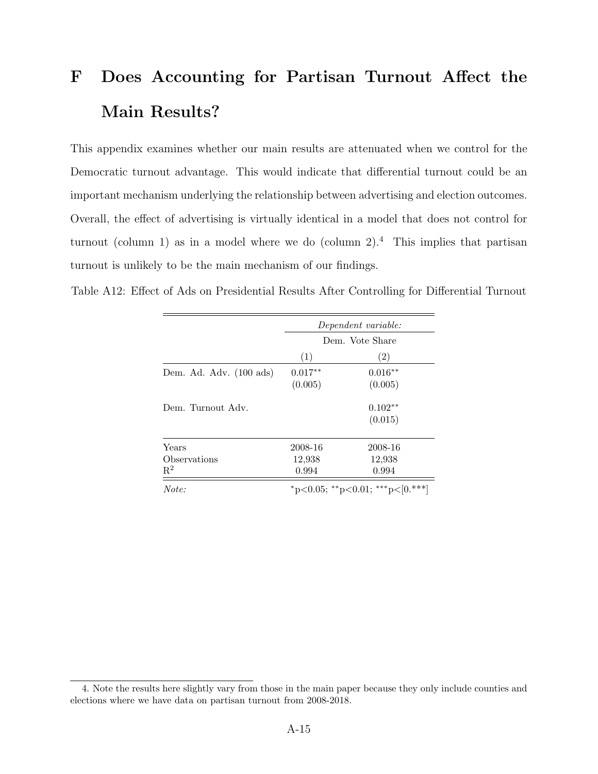### F Does Accounting for Partisan Turnout Affect the Main Results?

This appendix examines whether our main results are attenuated when we control for the Democratic turnout advantage. This would indicate that differential turnout could be an important mechanism underlying the relationship between advertising and election outcomes. Overall, the effect of advertising is virtually identical in a model that does not control for turnout (column 1) as in a model where we do (column 2).<sup>[4](#page-0-8)</sup> This implies that partisan turnout is unlikely to be the main mechanism of our findings.

Table A12: Effect of Ads on Presidential Results After Controlling for Differential Turnout

|                                         | Dependent variable:        |                                    |  |  |
|-----------------------------------------|----------------------------|------------------------------------|--|--|
|                                         | Dem. Vote Share            |                                    |  |  |
|                                         | (1)                        | (2)                                |  |  |
| Dem. Ad. Adv. (100 ads)                 | $0.017**$<br>(0.005)       | $0.016**$<br>(0.005)               |  |  |
| Dem. Turnout Adv.                       |                            | $0.102**$<br>(0.015)               |  |  |
| Years<br>Observations<br>$\mathrm{R}^2$ | 2008-16<br>12,938<br>0.994 | 2008-16<br>12,938<br>0.994         |  |  |
| Note:                                   |                            | *p<0.05; **p<0.01; ***p< $[0.***]$ |  |  |

<sup>4.</sup> Note the results here slightly vary from those in the main paper because they only include counties and elections where we have data on partisan turnout from 2008-2018.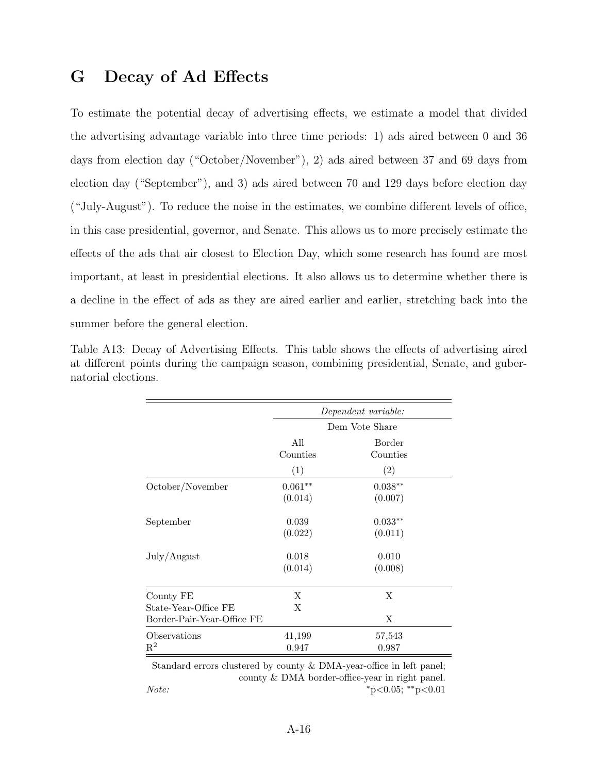### G Decay of Ad Effects

To estimate the potential decay of advertising effects, we estimate a model that divided the advertising advantage variable into three time periods: 1) ads aired between 0 and 36 days from election day ("October/November"), 2) ads aired between 37 and 69 days from election day ("September"), and 3) ads aired between 70 and 129 days before election day  $($ "July-August"). To reduce the noise in the estimates, we combine different levels of office, in this case presidential, governor, and Senate. This allows us to more precisely estimate the effects of the ads that air closest to Election Day, which some research has found are most important, at least in presidential elections. It also allows us to determine whether there is a decline in the effect of ads as they are aired earlier and earlier, stretching back into the summer before the general election.

| Table A13: Decay of Advertising Effects. This table shows the effects of advertising aired |  |  |  |  |  |  |
|--------------------------------------------------------------------------------------------|--|--|--|--|--|--|
| at different points during the campaign season, combining presidential, Senate, and guber- |  |  |  |  |  |  |
| natorial elections.                                                                        |  |  |  |  |  |  |

|                                   | Dependent variable:  |                      |  |  |  |
|-----------------------------------|----------------------|----------------------|--|--|--|
|                                   |                      | Dem Vote Share       |  |  |  |
|                                   | All<br>Counties      | Border<br>Counties   |  |  |  |
|                                   | (1)                  | (2)                  |  |  |  |
| October/November                  | $0.061**$<br>(0.014) | $0.038**$<br>(0.007) |  |  |  |
| September                         | 0.039<br>(0.022)     | $0.033**$<br>(0.011) |  |  |  |
| July/August                       | 0.018<br>(0.014)     | 0.010<br>(0.008)     |  |  |  |
| County FE<br>State-Year-Office FE | X<br>X               | X                    |  |  |  |
| Border-Pair-Year-Office FE        |                      | X                    |  |  |  |
| Observations<br>$\mathbb{R}^2$    | 41,199<br>0.947      | 57,543<br>0.987      |  |  |  |

Standard errors clustered by county  $&$  DMA-year-office in left panel; county  $&$  DMA border-office-year in right panel. *Note:* ⇤p*<*0.05; ⇤⇤p*<*0.01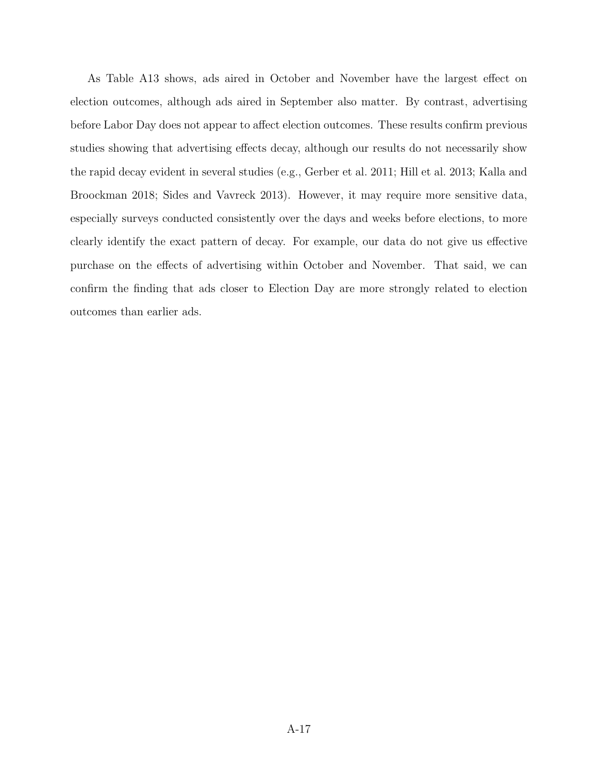As Table [A13](#page-0-12) shows, ads aired in October and November have the largest effect on election outcomes, although ads aired in September also matter. By contrast, advertising before Labor Day does not appear to affect election outcomes. These results confirm previous studies showing that advertising effects decay, although our results do not necessarily show the rapid decay evident in several studies (e.g., Gerber et al. [2011;](#page-0-13) Hill et al. [2013;](#page-0-14) Kalla and Broockman [2018;](#page-0-15) Sides and Vavreck [2013\)](#page-0-4). However, it may require more sensitive data, especially surveys conducted consistently over the days and weeks before elections, to more clearly identify the exact pattern of decay. For example, our data do not give us effective purchase on the effects of advertising within October and November. That said, we can confirm the finding that ads closer to Election Day are more strongly related to election outcomes than earlier ads.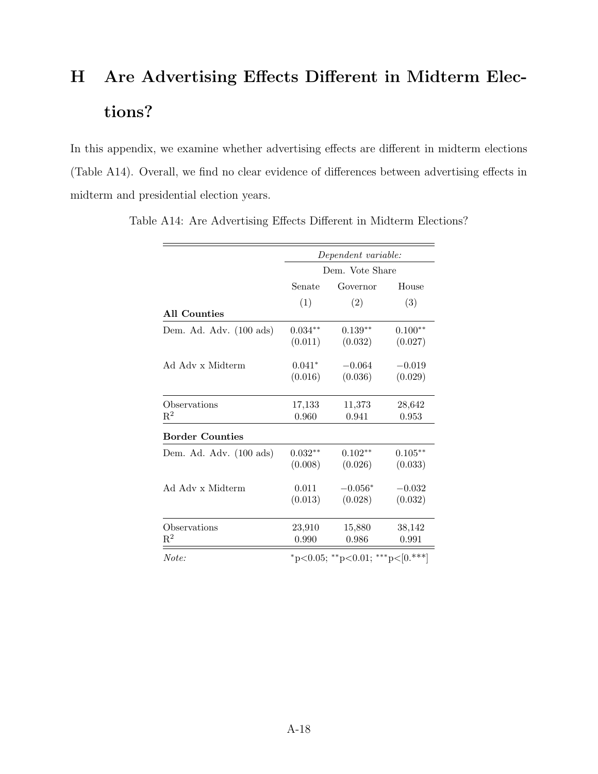# <span id="page-17-0"></span>H Are Advertising Effects Different in Midterm Elections?

In this appendix, we examine whether advertising effects are different in midterm elections (Table [A14\)](#page-0-16). Overall, we find no clear evidence of differences between advertising effects in midterm and presidential election years.

|                         | Dependent variable: |                                    |           |  |  |
|-------------------------|---------------------|------------------------------------|-----------|--|--|
|                         | Dem. Vote Share     |                                    |           |  |  |
|                         | Senate              | House                              |           |  |  |
|                         | (1)                 | (2)                                | (3)       |  |  |
| All Counties            |                     |                                    |           |  |  |
| Dem. Ad. Adv. (100 ads) | $0.034**$           | $0.139**$                          | $0.100**$ |  |  |
|                         | (0.011)             | (0.032)                            | (0.027)   |  |  |
| Ad Adv x Midterm        | $0.041*$            | $-0.064$                           | $-0.019$  |  |  |
|                         | (0.016)             | (0.036)                            | (0.029)   |  |  |
| Observations            | 17,133              | 11,373                             | 28,642    |  |  |
| $\mathrm{R}^2$          | 0.960               | 0.941                              | 0.953     |  |  |
| <b>Border Counties</b>  |                     |                                    |           |  |  |
| Dem. Ad. Adv. (100 ads) | $0.032**$           | $0.102**$                          | $0.105**$ |  |  |
|                         | (0.008)             | (0.026)                            | (0.033)   |  |  |
| Ad Adv x Midterm        | 0.011               | $-0.056*$                          | $-0.032$  |  |  |
|                         | (0.013)             | (0.028)                            | (0.032)   |  |  |
| Observations            | 23,910              | 15,880                             | 38,142    |  |  |
| $\mathrm{R}^2$          | 0.990               | 0.986                              | 0.991     |  |  |
| Note:                   |                     | *p<0.05; **p<0.01; ***p< $[0.***]$ |           |  |  |

Table A14: Are Advertising Effects Different in Midterm Elections?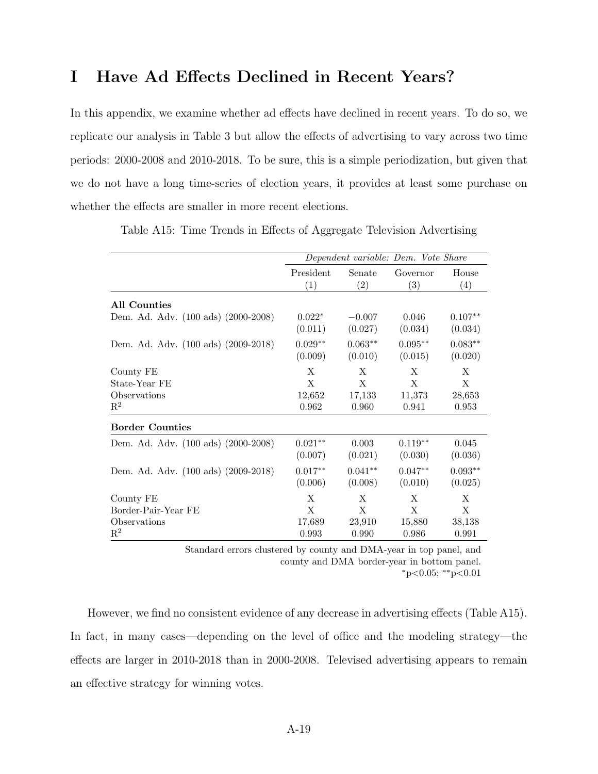### I Have Ad Effects Declined in Recent Years?

In this appendix, we examine whether ad effects have declined in recent years. To do so, we replicate our analysis in Table [3](#page-17-0) but allow the effects of advertising to vary across two time periods: 2000-2008 and 2010-2018. To be sure, this is a simple periodization, but given that we do not have a long time-series of election years, it provides at least some purchase on whether the effects are smaller in more recent elections.

|                                            | Dependent variable: Dem. Vote Share |                      |                      |                               |  |
|--------------------------------------------|-------------------------------------|----------------------|----------------------|-------------------------------|--|
|                                            | President                           | Senate               | Governor             | House                         |  |
|                                            | (1)                                 | (2)                  | (3)                  | (4)                           |  |
| All Counties                               |                                     |                      |                      |                               |  |
| Dem. Ad. Adv. (100 ads) (2000-2008)        | $0.022*$<br>(0.011)                 | $-0.007$<br>(0.027)  | 0.046<br>(0.034)     | $0.107**$<br>(0.034)          |  |
| Dem. Ad. Adv. (100 ads) (2009-2018)        | $0.029**$<br>(0.009)                | $0.063**$<br>(0.010) | $0.095**$<br>(0.015) | $0.083^{\ast\ast}$<br>(0.020) |  |
| County FE<br>State-Year FE<br>Observations | X<br>X<br>12,652                    | X<br>X<br>17,133     | X<br>X<br>11,373     | X<br>X<br>28,653              |  |
| $\mathbf{R}^2$<br><b>Border Counties</b>   | 0.962                               | 0.960                | 0.941                | 0.953                         |  |
|                                            |                                     |                      |                      |                               |  |
| Dem. Ad. Adv. (100 ads) (2000-2008)        | $0.021**$<br>(0.007)                | 0.003<br>(0.021)     | $0.119**$<br>(0.030) | 0.045<br>(0.036)              |  |
| Dem. Ad. Adv. (100 ads) (2009-2018)        | $0.017**$<br>(0.006)                | $0.041**$<br>(0.008) | $0.047**$<br>(0.010) | $0.093**$<br>(0.025)          |  |
| County FE                                  | X                                   | X                    | X                    | X                             |  |
| Border-Pair-Year FE                        | X                                   | X                    | X                    | X                             |  |
| Observations                               | 17,689                              | 23,910               | 15,880               | 38,138                        |  |
| $\mathbf{R}^2$                             | 0.993                               | 0.990                | 0.986                | 0.991                         |  |

Table A15: Time Trends in Effects of Aggregate Television Advertising

Standard errors clustered by county and DMA-year in top panel, and county and DMA border-year in bottom panel. ⇤p*<*0.05; ⇤⇤p*<*0.01

However, we find no consistent evidence of any decrease in advertising effects (Table [A15\)](#page--1-1). In fact, in many cases—depending on the level of office and the modeling strategy—the effects are larger in 2010-2018 than in 2000-2008. Televised advertising appears to remain an effective strategy for winning votes.